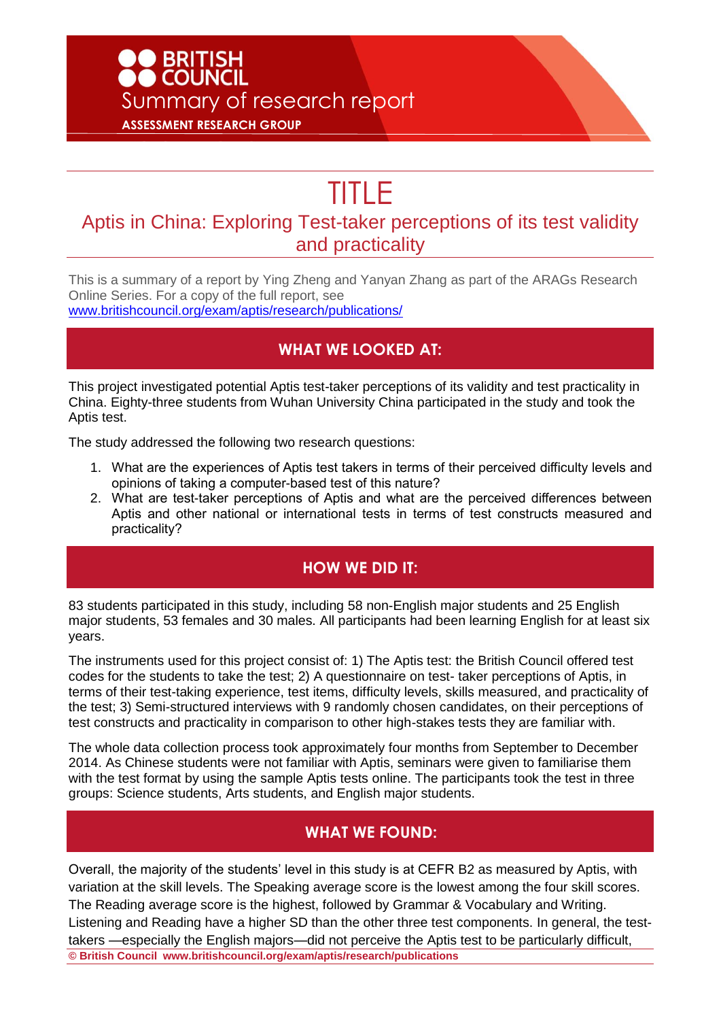# ● BRITISH<br>● COUNCIL Summary of research report **ASSESSMENT RESEARCH GROUP**

# TITLE

### Aptis in China: Exploring Test-taker perceptions of its test validity and practicality

This is a summary of a report by Ying Zheng and Yanyan Zhang as part of the ARAGs Research Online Series. For a copy of the full report, see [www.britishcouncil.org/exam/aptis/research/publications/](http://www.britishcouncil.org/exam/aptis/research/publications/)

#### **WHAT WE LOOKED AT:**

This project investigated potential Aptis test-taker perceptions of its validity and test practicality in China. Eighty-three students from Wuhan University China participated in the study and took the Aptis test.

The study addressed the following two research questions:

- 1. What are the experiences of Aptis test takers in terms of their perceived difficulty levels and opinions of taking a computer-based test of this nature?
- 2. What are test-taker perceptions of Aptis and what are the perceived differences between Aptis and other national or international tests in terms of test constructs measured and practicality?

#### **HOW WE DID IT:**

83 students participated in this study, including 58 non-English major students and 25 English major students, 53 females and 30 males. All participants had been learning English for at least six years.

The instruments used for this project consist of: 1) The Aptis test: the British Council offered test codes for the students to take the test; 2) A questionnaire on test- taker perceptions of Aptis, in terms of their test-taking experience, test items, difficulty levels, skills measured, and practicality of the test; 3) Semi-structured interviews with 9 randomly chosen candidates, on their perceptions of test constructs and practicality in comparison to other high-stakes tests they are familiar with.

The whole data collection process took approximately four months from September to December 2014. As Chinese students were not familiar with Aptis, seminars were given to familiarise them with the test format by using the sample Aptis tests online. The participants took the test in three groups: Science students, Arts students, and English major students.

#### **WHAT WE FOUND:**

**© British Council www.britishcouncil.org/exam/aptis/research/publications**  Overall, the majority of the students' level in this study is at CEFR B2 as measured by Aptis, with variation at the skill levels. The Speaking average score is the lowest among the four skill scores. The Reading average score is the highest, followed by Grammar & Vocabulary and Writing. Listening and Reading have a higher SD than the other three test components. In general, the testtakers —especially the English majors—did not perceive the Aptis test to be particularly difficult,